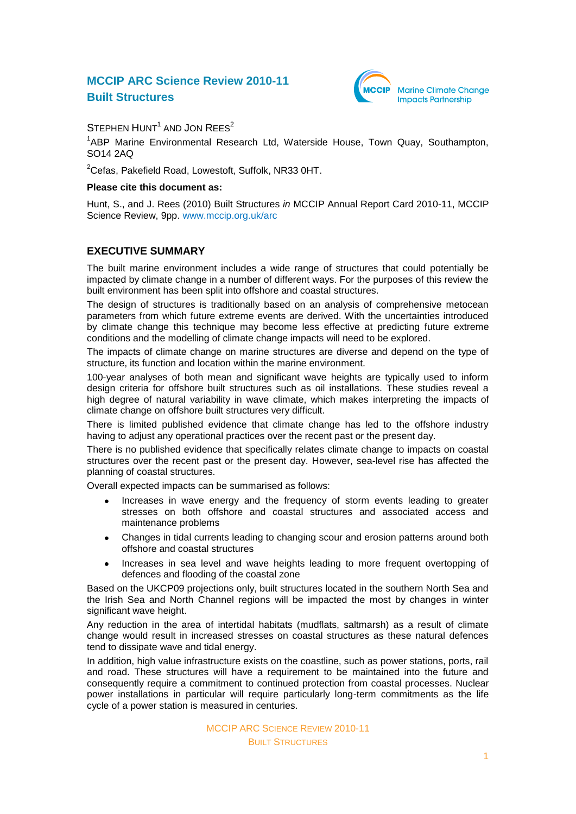# **MCCIP ARC Science Review 2010-11 Built Structures**



STEPHEN  $HUNT<sup>1</sup>$  and JON REES<sup>2</sup>

<sup>1</sup>ABP Marine Environmental Research Ltd, Waterside House, Town Quay, Southampton, SO14 2AQ

 $2^2$ Cefas, Pakefield Road, Lowestoft, Suffolk, NR33 0HT.

#### **Please cite this document as:**

Hunt, S., and J. Rees (2010) Built Structures *in* MCCIP Annual Report Card 2010-11, MCCIP Science Review, 9pp. [www.mccip.org.uk/arc](http://www.mccip.org.uk/arc)

#### **EXECUTIVE SUMMARY**

The built marine environment includes a wide range of structures that could potentially be impacted by climate change in a number of different ways. For the purposes of this review the built environment has been split into offshore and coastal structures.

The design of structures is traditionally based on an analysis of comprehensive metocean parameters from which future extreme events are derived. With the uncertainties introduced by climate change this technique may become less effective at predicting future extreme conditions and the modelling of climate change impacts will need to be explored.

The impacts of climate change on marine structures are diverse and depend on the type of structure, its function and location within the marine environment.

100-year analyses of both mean and significant wave heights are typically used to inform design criteria for offshore built structures such as oil installations. These studies reveal a high degree of natural variability in wave climate, which makes interpreting the impacts of climate change on offshore built structures very difficult.

There is limited published evidence that climate change has led to the offshore industry having to adjust any operational practices over the recent past or the present day.

There is no published evidence that specifically relates climate change to impacts on coastal structures over the recent past or the present day. However, sea-level rise has affected the planning of coastal structures.

Overall expected impacts can be summarised as follows:

- Increases in wave energy and the frequency of storm events leading to greater stresses on both offshore and coastal structures and associated access and maintenance problems
- Changes in tidal currents leading to changing scour and erosion patterns around both  $\bullet$ offshore and coastal structures
- $\bullet$ Increases in sea level and wave heights leading to more frequent overtopping of defences and flooding of the coastal zone

Based on the UKCP09 projections only, built structures located in the southern North Sea and the Irish Sea and North Channel regions will be impacted the most by changes in winter significant wave height.

Any reduction in the area of intertidal habitats (mudflats, saltmarsh) as a result of climate change would result in increased stresses on coastal structures as these natural defences tend to dissipate wave and tidal energy.

In addition, high value infrastructure exists on the coastline, such as power stations, ports, rail and road. These structures will have a requirement to be maintained into the future and consequently require a commitment to continued protection from coastal processes. Nuclear power installations in particular will require particularly long-term commitments as the life cycle of a power station is measured in centuries.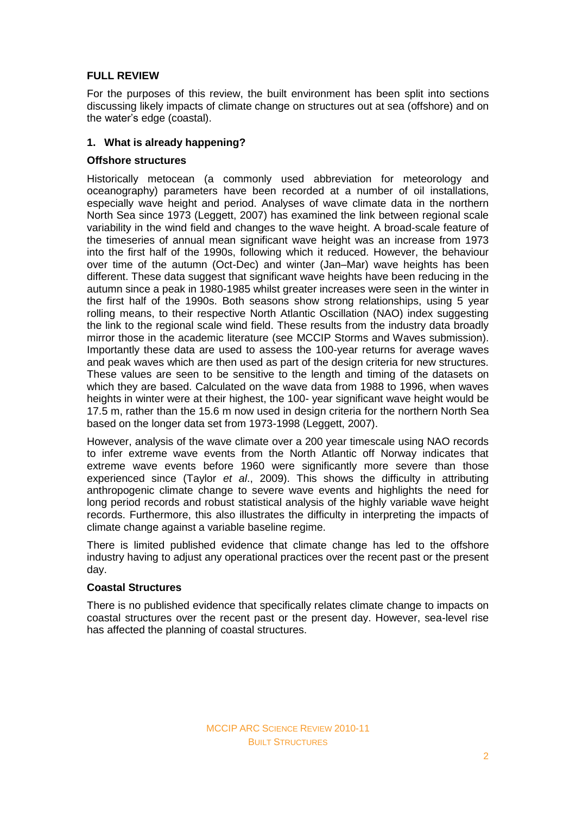# **FULL REVIEW**

For the purposes of this review, the built environment has been split into sections discussing likely impacts of climate change on structures out at sea (offshore) and on the water's edge (coastal).

# **1. What is already happening?**

### **Offshore structures**

Historically metocean (a commonly used abbreviation for meteorology and oceanography) parameters have been recorded at a number of oil installations, especially wave height and period. Analyses of wave climate data in the northern North Sea since 1973 (Leggett, 2007) has examined the link between regional scale variability in the wind field and changes to the wave height. A broad-scale feature of the timeseries of annual mean significant wave height was an increase from 1973 into the first half of the 1990s, following which it reduced. However, the behaviour over time of the autumn (Oct-Dec) and winter (Jan–Mar) wave heights has been different. These data suggest that significant wave heights have been reducing in the autumn since a peak in 1980-1985 whilst greater increases were seen in the winter in the first half of the 1990s. Both seasons show strong relationships, using 5 year rolling means, to their respective North Atlantic Oscillation (NAO) index suggesting the link to the regional scale wind field. These results from the industry data broadly mirror those in the academic literature (see MCCIP Storms and Waves submission). Importantly these data are used to assess the 100-year returns for average waves and peak waves which are then used as part of the design criteria for new structures. These values are seen to be sensitive to the length and timing of the datasets on which they are based. Calculated on the wave data from 1988 to 1996, when waves heights in winter were at their highest, the 100- year significant wave height would be 17.5 m, rather than the 15.6 m now used in design criteria for the northern North Sea based on the longer data set from 1973-1998 (Leggett, 2007).

However, analysis of the wave climate over a 200 year timescale using NAO records to infer extreme wave events from the North Atlantic off Norway indicates that extreme wave events before 1960 were significantly more severe than those experienced since (Taylor *et al*., 2009). This shows the difficulty in attributing anthropogenic climate change to severe wave events and highlights the need for long period records and robust statistical analysis of the highly variable wave height records. Furthermore, this also illustrates the difficulty in interpreting the impacts of climate change against a variable baseline regime.

There is limited published evidence that climate change has led to the offshore industry having to adjust any operational practices over the recent past or the present day.

# **Coastal Structures**

There is no published evidence that specifically relates climate change to impacts on coastal structures over the recent past or the present day. However, sea-level rise has affected the planning of coastal structures.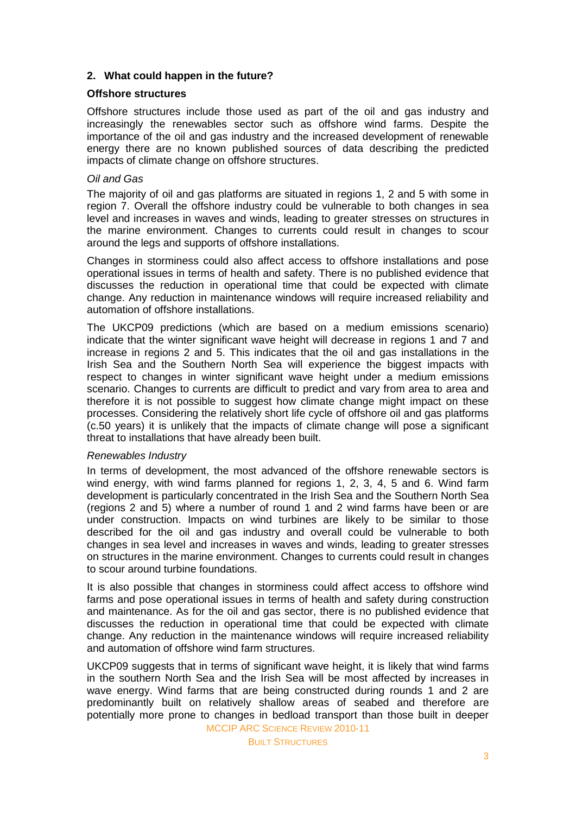# **2. What could happen in the future?**

#### **Offshore structures**

Offshore structures include those used as part of the oil and gas industry and increasingly the renewables sector such as offshore wind farms. Despite the importance of the oil and gas industry and the increased development of renewable energy there are no known published sources of data describing the predicted impacts of climate change on offshore structures.

#### *Oil and Gas*

The majority of oil and gas platforms are situated in regions 1, 2 and 5 with some in region 7. Overall the offshore industry could be vulnerable to both changes in sea level and increases in waves and winds, leading to greater stresses on structures in the marine environment. Changes to currents could result in changes to scour around the legs and supports of offshore installations.

Changes in storminess could also affect access to offshore installations and pose operational issues in terms of health and safety. There is no published evidence that discusses the reduction in operational time that could be expected with climate change. Any reduction in maintenance windows will require increased reliability and automation of offshore installations.

The UKCP09 predictions (which are based on a medium emissions scenario) indicate that the winter significant wave height will decrease in regions 1 and 7 and increase in regions 2 and 5. This indicates that the oil and gas installations in the Irish Sea and the Southern North Sea will experience the biggest impacts with respect to changes in winter significant wave height under a medium emissions scenario. Changes to currents are difficult to predict and vary from area to area and therefore it is not possible to suggest how climate change might impact on these processes. Considering the relatively short life cycle of offshore oil and gas platforms (c.50 years) it is unlikely that the impacts of climate change will pose a significant threat to installations that have already been built.

#### *Renewables Industry*

In terms of development, the most advanced of the offshore renewable sectors is wind energy, with wind farms planned for regions 1, 2, 3, 4, 5 and 6. Wind farm development is particularly concentrated in the Irish Sea and the Southern North Sea (regions 2 and 5) where a number of round 1 and 2 wind farms have been or are under construction. Impacts on wind turbines are likely to be similar to those described for the oil and gas industry and overall could be vulnerable to both changes in sea level and increases in waves and winds, leading to greater stresses on structures in the marine environment. Changes to currents could result in changes to scour around turbine foundations.

It is also possible that changes in storminess could affect access to offshore wind farms and pose operational issues in terms of health and safety during construction and maintenance. As for the oil and gas sector, there is no published evidence that discusses the reduction in operational time that could be expected with climate change. Any reduction in the maintenance windows will require increased reliability and automation of offshore wind farm structures.

MCCIP ARC SCIENCE REVIEW 2010-11 UKCP09 suggests that in terms of significant wave height, it is likely that wind farms in the southern North Sea and the Irish Sea will be most affected by increases in wave energy. Wind farms that are being constructed during rounds 1 and 2 are predominantly built on relatively shallow areas of seabed and therefore are potentially more prone to changes in bedload transport than those built in deeper

**BUILT STRUCTURES**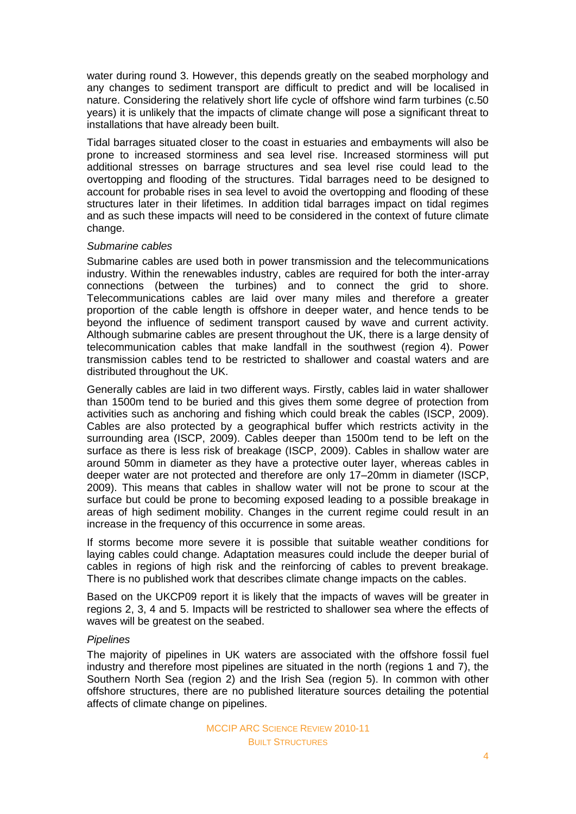water during round 3. However, this depends greatly on the seabed morphology and any changes to sediment transport are difficult to predict and will be localised in nature. Considering the relatively short life cycle of offshore wind farm turbines (c.50 years) it is unlikely that the impacts of climate change will pose a significant threat to installations that have already been built.

Tidal barrages situated closer to the coast in estuaries and embayments will also be prone to increased storminess and sea level rise. Increased storminess will put additional stresses on barrage structures and sea level rise could lead to the overtopping and flooding of the structures. Tidal barrages need to be designed to account for probable rises in sea level to avoid the overtopping and flooding of these structures later in their lifetimes. In addition tidal barrages impact on tidal regimes and as such these impacts will need to be considered in the context of future climate change.

#### *Submarine cables*

Submarine cables are used both in power transmission and the telecommunications industry. Within the renewables industry, cables are required for both the inter-array connections (between the turbines) and to connect the grid to shore. Telecommunications cables are laid over many miles and therefore a greater proportion of the cable length is offshore in deeper water, and hence tends to be beyond the influence of sediment transport caused by wave and current activity. Although submarine cables are present throughout the UK, there is a large density of telecommunication cables that make landfall in the southwest (region 4). Power transmission cables tend to be restricted to shallower and coastal waters and are distributed throughout the UK.

Generally cables are laid in two different ways. Firstly, cables laid in water shallower than 1500m tend to be buried and this gives them some degree of protection from activities such as anchoring and fishing which could break the cables (ISCP, 2009). Cables are also protected by a geographical buffer which restricts activity in the surrounding area (ISCP, 2009). Cables deeper than 1500m tend to be left on the surface as there is less risk of breakage (ISCP, 2009). Cables in shallow water are around 50mm in diameter as they have a protective outer layer, whereas cables in deeper water are not protected and therefore are only 17–20mm in diameter (ISCP, 2009). This means that cables in shallow water will not be prone to scour at the surface but could be prone to becoming exposed leading to a possible breakage in areas of high sediment mobility. Changes in the current regime could result in an increase in the frequency of this occurrence in some areas.

If storms become more severe it is possible that suitable weather conditions for laying cables could change. Adaptation measures could include the deeper burial of cables in regions of high risk and the reinforcing of cables to prevent breakage. There is no published work that describes climate change impacts on the cables.

Based on the UKCP09 report it is likely that the impacts of waves will be greater in regions 2, 3, 4 and 5. Impacts will be restricted to shallower sea where the effects of waves will be greatest on the seabed.

#### *Pipelines*

The majority of pipelines in UK waters are associated with the offshore fossil fuel industry and therefore most pipelines are situated in the north (regions 1 and 7), the Southern North Sea (region 2) and the Irish Sea (region 5). In common with other offshore structures, there are no published literature sources detailing the potential affects of climate change on pipelines.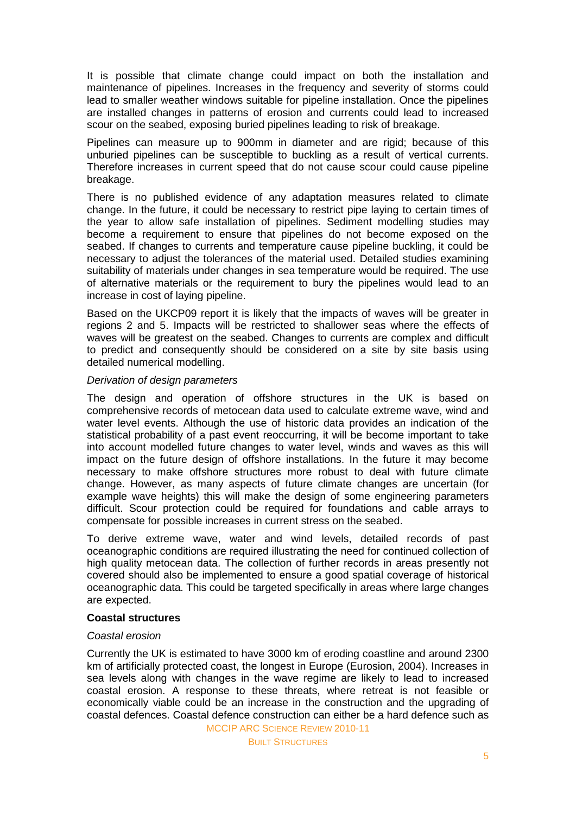It is possible that climate change could impact on both the installation and maintenance of pipelines. Increases in the frequency and severity of storms could lead to smaller weather windows suitable for pipeline installation. Once the pipelines are installed changes in patterns of erosion and currents could lead to increased scour on the seabed, exposing buried pipelines leading to risk of breakage.

Pipelines can measure up to 900mm in diameter and are rigid; because of this unburied pipelines can be susceptible to buckling as a result of vertical currents. Therefore increases in current speed that do not cause scour could cause pipeline breakage.

There is no published evidence of any adaptation measures related to climate change. In the future, it could be necessary to restrict pipe laying to certain times of the year to allow safe installation of pipelines. Sediment modelling studies may become a requirement to ensure that pipelines do not become exposed on the seabed. If changes to currents and temperature cause pipeline buckling, it could be necessary to adjust the tolerances of the material used. Detailed studies examining suitability of materials under changes in sea temperature would be required. The use of alternative materials or the requirement to bury the pipelines would lead to an increase in cost of laying pipeline.

Based on the UKCP09 report it is likely that the impacts of waves will be greater in regions 2 and 5. Impacts will be restricted to shallower seas where the effects of waves will be greatest on the seabed. Changes to currents are complex and difficult to predict and consequently should be considered on a site by site basis using detailed numerical modelling.

#### *Derivation of design parameters*

The design and operation of offshore structures in the UK is based on comprehensive records of metocean data used to calculate extreme wave, wind and water level events. Although the use of historic data provides an indication of the statistical probability of a past event reoccurring, it will be become important to take into account modelled future changes to water level, winds and waves as this will impact on the future design of offshore installations. In the future it may become necessary to make offshore structures more robust to deal with future climate change. However, as many aspects of future climate changes are uncertain (for example wave heights) this will make the design of some engineering parameters difficult. Scour protection could be required for foundations and cable arrays to compensate for possible increases in current stress on the seabed.

To derive extreme wave, water and wind levels, detailed records of past oceanographic conditions are required illustrating the need for continued collection of high quality metocean data. The collection of further records in areas presently not covered should also be implemented to ensure a good spatial coverage of historical oceanographic data. This could be targeted specifically in areas where large changes are expected.

#### **Coastal structures**

#### *Coastal erosion*

Currently the UK is estimated to have 3000 km of eroding coastline and around 2300 km of artificially protected coast, the longest in Europe (Eurosion, 2004). Increases in sea levels along with changes in the wave regime are likely to lead to increased coastal erosion. A response to these threats, where retreat is not feasible or economically viable could be an increase in the construction and the upgrading of coastal defences. Coastal defence construction can either be a hard defence such as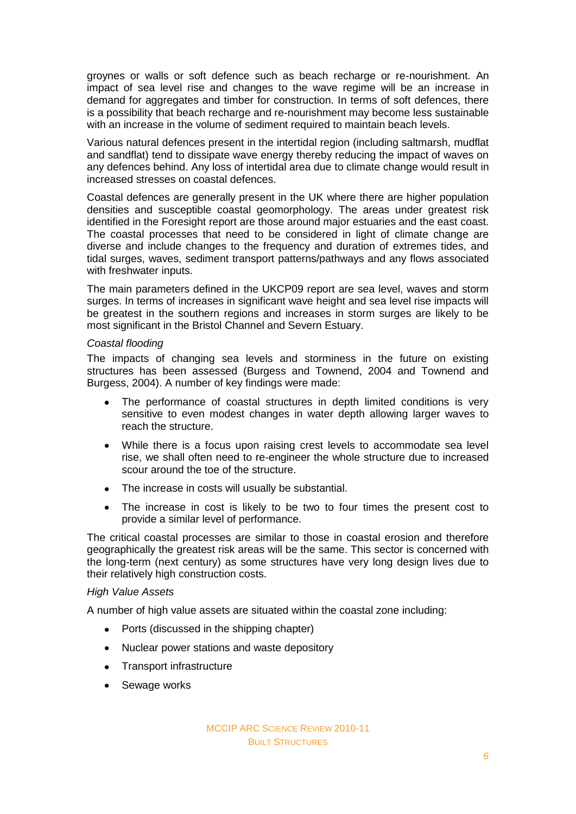groynes or walls or soft defence such as beach recharge or re-nourishment. An impact of sea level rise and changes to the wave regime will be an increase in demand for aggregates and timber for construction. In terms of soft defences, there is a possibility that beach recharge and re-nourishment may become less sustainable with an increase in the volume of sediment required to maintain beach levels.

Various natural defences present in the intertidal region (including saltmarsh, mudflat and sandflat) tend to dissipate wave energy thereby reducing the impact of waves on any defences behind. Any loss of intertidal area due to climate change would result in increased stresses on coastal defences.

Coastal defences are generally present in the UK where there are higher population densities and susceptible coastal geomorphology. The areas under greatest risk identified in the Foresight report are those around major estuaries and the east coast. The coastal processes that need to be considered in light of climate change are diverse and include changes to the frequency and duration of extremes tides, and tidal surges, waves, sediment transport patterns/pathways and any flows associated with freshwater inputs.

The main parameters defined in the UKCP09 report are sea level, waves and storm surges. In terms of increases in significant wave height and sea level rise impacts will be greatest in the southern regions and increases in storm surges are likely to be most significant in the Bristol Channel and Severn Estuary.

#### *Coastal flooding*

The impacts of changing sea levels and storminess in the future on existing structures has been assessed (Burgess and Townend, 2004 and Townend and Burgess, 2004). A number of key findings were made:

- The performance of coastal structures in depth limited conditions is very sensitive to even modest changes in water depth allowing larger waves to reach the structure.
- While there is a focus upon raising crest levels to accommodate sea level rise, we shall often need to re-engineer the whole structure due to increased scour around the toe of the structure.
- The increase in costs will usually be substantial.
- The increase in cost is likely to be two to four times the present cost to provide a similar level of performance.

The critical coastal processes are similar to those in coastal erosion and therefore geographically the greatest risk areas will be the same. This sector is concerned with the long-term (next century) as some structures have very long design lives due to their relatively high construction costs.

#### *High Value Assets*

A number of high value assets are situated within the coastal zone including:

- $\bullet$ Ports (discussed in the shipping chapter)
- $\bullet$ Nuclear power stations and waste depository
- Transport infrastructure  $\bullet$
- Sewage works $\bullet$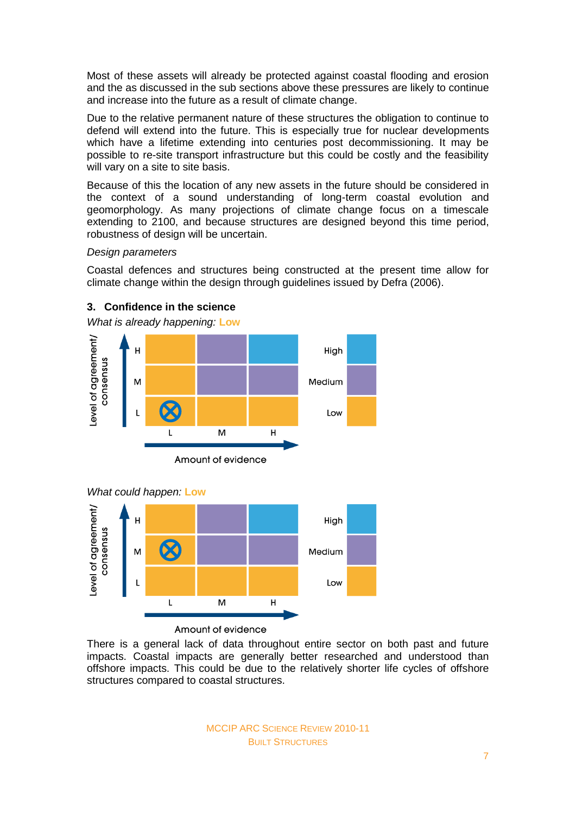Most of these assets will already be protected against coastal flooding and erosion and the as discussed in the sub sections above these pressures are likely to continue and increase into the future as a result of climate change.

Due to the relative permanent nature of these structures the obligation to continue to defend will extend into the future. This is especially true for nuclear developments which have a lifetime extending into centuries post decommissioning. It may be possible to re-site transport infrastructure but this could be costly and the feasibility will vary on a site to site basis.

Because of this the location of any new assets in the future should be considered in the context of a sound understanding of long-term coastal evolution and geomorphology. As many projections of climate change focus on a timescale extending to 2100, and because structures are designed beyond this time period, robustness of design will be uncertain.

#### *Design parameters*

Coastal defences and structures being constructed at the present time allow for climate change within the design through guidelines issued by Defra (2006).



# **3. Confidence in the science**

*What could happen:* **Low**



There is a general lack of data throughout entire sector on both past and future impacts. Coastal impacts are generally better researched and understood than offshore impacts. This could be due to the relatively shorter life cycles of offshore structures compared to coastal structures.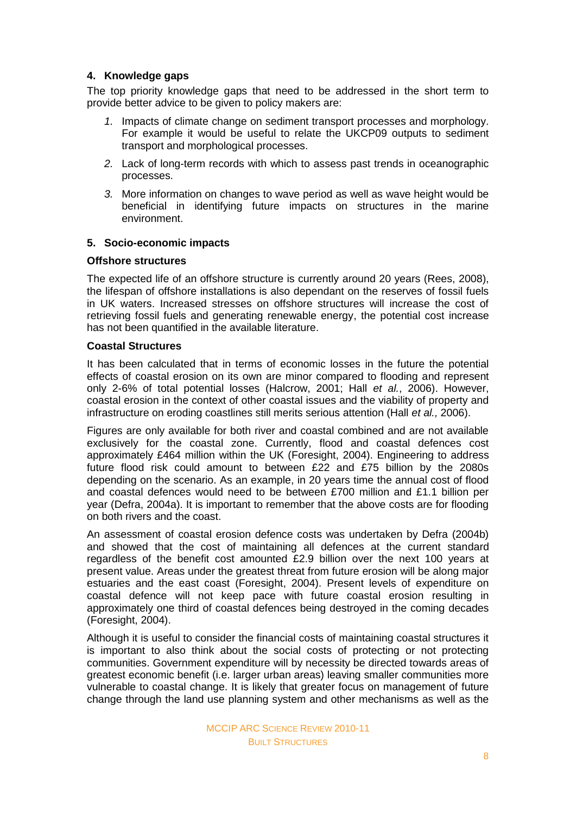# **4. Knowledge gaps**

The top priority knowledge gaps that need to be addressed in the short term to provide better advice to be given to policy makers are:

- *1.* Impacts of climate change on sediment transport processes and morphology. For example it would be useful to relate the UKCP09 outputs to sediment transport and morphological processes.
- *2.* Lack of long-term records with which to assess past trends in oceanographic processes.
- *3.* More information on changes to wave period as well as wave height would be beneficial in identifying future impacts on structures in the marine environment.

# **5. Socio-economic impacts**

#### **Offshore structures**

The expected life of an offshore structure is currently around 20 years (Rees, 2008), the lifespan of offshore installations is also dependant on the reserves of fossil fuels in UK waters. Increased stresses on offshore structures will increase the cost of retrieving fossil fuels and generating renewable energy, the potential cost increase has not been quantified in the available literature.

#### **Coastal Structures**

It has been calculated that in terms of economic losses in the future the potential effects of coastal erosion on its own are minor compared to flooding and represent only 2-6% of total potential losses (Halcrow, 2001; Hall *et al.*, 2006). However, coastal erosion in the context of other coastal issues and the viability of property and infrastructure on eroding coastlines still merits serious attention (Hall *et al.,* 2006).

Figures are only available for both river and coastal combined and are not available exclusively for the coastal zone. Currently, flood and coastal defences cost approximately £464 million within the UK (Foresight, 2004). Engineering to address future flood risk could amount to between £22 and £75 billion by the 2080s depending on the scenario. As an example, in 20 years time the annual cost of flood and coastal defences would need to be between £700 million and £1.1 billion per year (Defra, 2004a). It is important to remember that the above costs are for flooding on both rivers and the coast.

An assessment of coastal erosion defence costs was undertaken by Defra (2004b) and showed that the cost of maintaining all defences at the current standard regardless of the benefit cost amounted £2.9 billion over the next 100 years at present value. Areas under the greatest threat from future erosion will be along major estuaries and the east coast (Foresight, 2004). Present levels of expenditure on coastal defence will not keep pace with future coastal erosion resulting in approximately one third of coastal defences being destroyed in the coming decades (Foresight, 2004).

Although it is useful to consider the financial costs of maintaining coastal structures it is important to also think about the social costs of protecting or not protecting communities. Government expenditure will by necessity be directed towards areas of greatest economic benefit (i.e. larger urban areas) leaving smaller communities more vulnerable to coastal change. It is likely that greater focus on management of future change through the land use planning system and other mechanisms as well as the